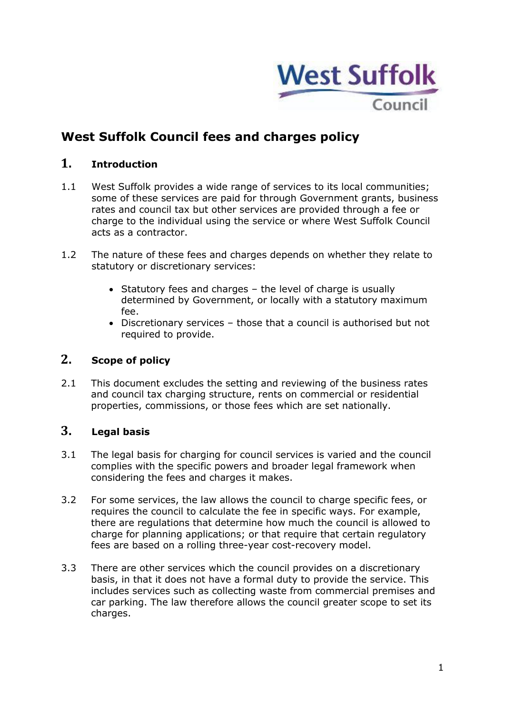

# **West Suffolk Council fees and charges policy**

# **1. Introduction**

- 1.1 West Suffolk provides a wide range of services to its local communities; some of these services are paid for through Government grants, business rates and council tax but other services are provided through a fee or charge to the individual using the service or where West Suffolk Council acts as a contractor.
- 1.2 The nature of these fees and charges depends on whether they relate to statutory or discretionary services:
	- Statutory fees and charges the level of charge is usually determined by Government, or locally with a statutory maximum fee.
	- Discretionary services those that a council is authorised but not required to provide.

# **2. Scope of policy**

2.1 This document excludes the setting and reviewing of the business rates and council tax charging structure, rents on commercial or residential properties, commissions, or those fees which are set nationally.

#### **3. Legal basis**

- 3.1 The legal basis for charging for council services is varied and the council complies with the specific powers and broader legal framework when considering the fees and charges it makes.
- 3.2 For some services, the law allows the council to charge specific fees, or requires the council to calculate the fee in specific ways. For example, there are regulations that determine how much the council is allowed to charge for planning applications; or that require that certain regulatory fees are based on a rolling three-year cost-recovery model.
- 3.3 There are other services which the council provides on a discretionary basis, in that it does not have a formal duty to provide the service. This includes services such as collecting waste from commercial premises and car parking. The law therefore allows the council greater scope to set its charges.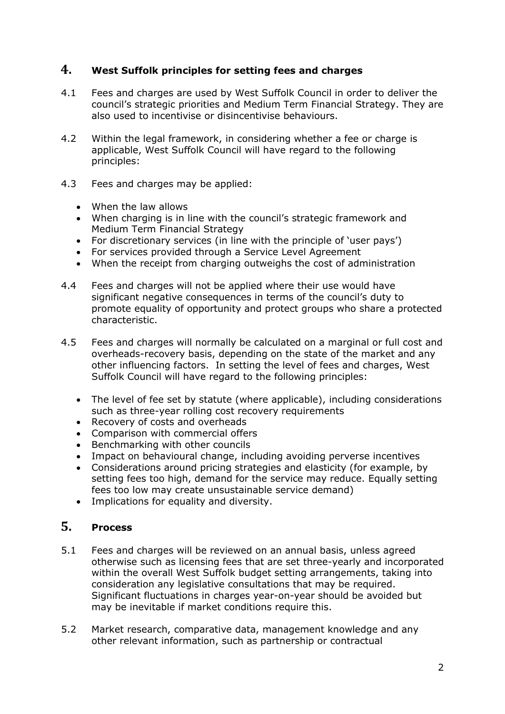### **4. West Suffolk principles for setting fees and charges**

- 4.1 Fees and charges are used by West Suffolk Council in order to deliver the council's strategic priorities and Medium Term Financial Strategy. They are also used to incentivise or disincentivise behaviours.
- 4.2 Within the legal framework, in considering whether a fee or charge is applicable, West Suffolk Council will have regard to the following principles:
- 4.3 Fees and charges may be applied:
	- When the law allows
	- When charging is in line with the council's strategic framework and Medium Term Financial Strategy
	- For discretionary services (in line with the principle of 'user pays')
	- For services provided through a Service Level Agreement
	- When the receipt from charging outweighs the cost of administration
- 4.4 Fees and charges will not be applied where their use would have significant negative consequences in terms of the council's duty to promote equality of opportunity and protect groups who share a protected characteristic.
- 4.5 Fees and charges will normally be calculated on a marginal or full cost and overheads-recovery basis, depending on the state of the market and any other influencing factors. In setting the level of fees and charges, West Suffolk Council will have regard to the following principles:
	- The level of fee set by statute (where applicable), including considerations such as three-year rolling cost recovery requirements
	- Recovery of costs and overheads
	- Comparison with commercial offers
	- Benchmarking with other councils
	- Impact on behavioural change, including avoiding perverse incentives
	- Considerations around pricing strategies and elasticity (for example, by setting fees too high, demand for the service may reduce. Equally setting fees too low may create unsustainable service demand)
	- Implications for equality and diversity.

### **5. Process**

- 5.1 Fees and charges will be reviewed on an annual basis, unless agreed otherwise such as licensing fees that are set three-yearly and incorporated within the overall West Suffolk budget setting arrangements, taking into consideration any legislative consultations that may be required. Significant fluctuations in charges year-on-year should be avoided but may be inevitable if market conditions require this.
- 5.2 Market research, comparative data, management knowledge and any other relevant information, such as partnership or contractual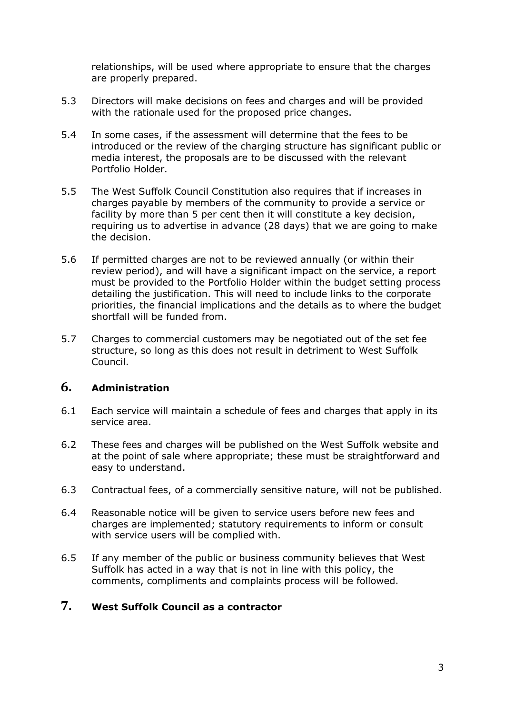relationships, will be used where appropriate to ensure that the charges are properly prepared.

- 5.3 Directors will make decisions on fees and charges and will be provided with the rationale used for the proposed price changes.
- 5.4 In some cases, if the assessment will determine that the fees to be introduced or the review of the charging structure has significant public or media interest, the proposals are to be discussed with the relevant Portfolio Holder.
- 5.5 The West Suffolk Council Constitution also requires that if increases in charges payable by members of the community to provide a service or facility by more than 5 per cent then it will constitute a key decision, requiring us to advertise in advance (28 days) that we are going to make the decision.
- 5.6 If permitted charges are not to be reviewed annually (or within their review period), and will have a significant impact on the service, a report must be provided to the Portfolio Holder within the budget setting process detailing the justification. This will need to include links to the corporate priorities, the financial implications and the details as to where the budget shortfall will be funded from.
- 5.7 Charges to commercial customers may be negotiated out of the set fee structure, so long as this does not result in detriment to West Suffolk Council.

# **6. Administration**

- 6.1 Each service will maintain a schedule of fees and charges that apply in its service area.
- 6.2 These fees and charges will be published on the West Suffolk website and at the point of sale where appropriate; these must be straightforward and easy to understand.
- 6.3 Contractual fees, of a commercially sensitive nature, will not be published.
- 6.4 Reasonable notice will be given to service users before new fees and charges are implemented; statutory requirements to inform or consult with service users will be complied with.
- 6.5 If any member of the public or business community believes that West Suffolk has acted in a way that is not in line with this policy, the comments, compliments and complaints process will be followed.

## **7. West Suffolk Council as a contractor**